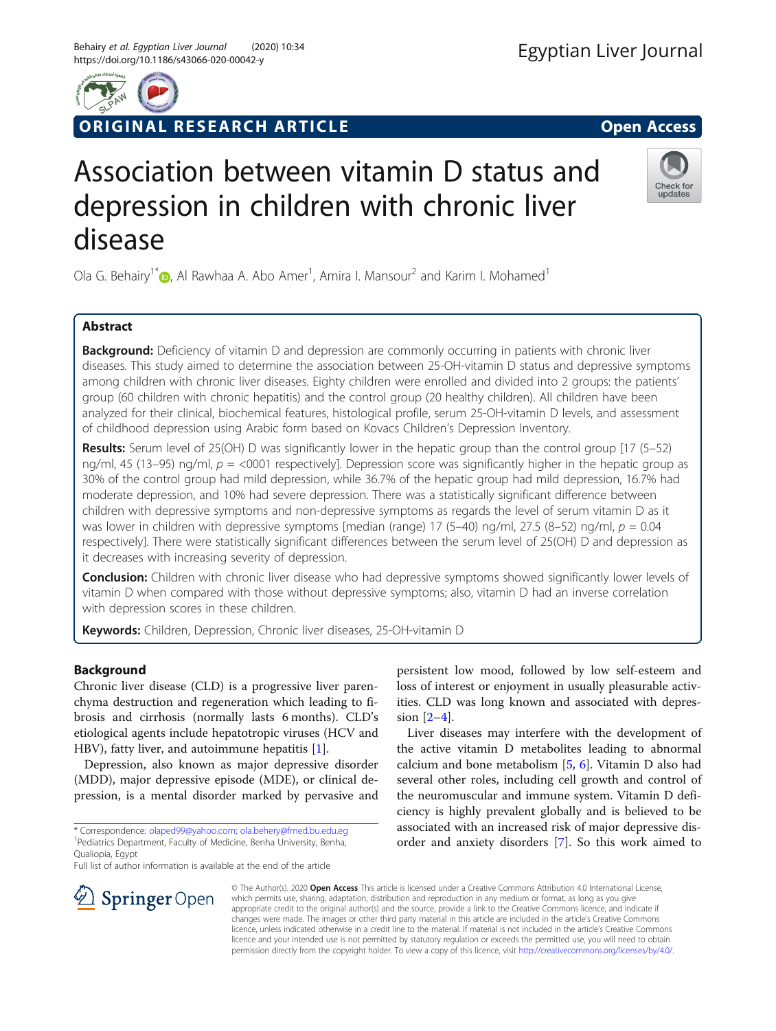# ORIGINAL RESEARCH ARTICLE **External of the Contract Open Access**

# Association between vitamin D status and depression in children with chronic liver disease

Ola G. Behairy<sup>1\*</sup> $\bm{\odot}$ [,](http://orcid.org/0000-0002-1985-4933) Al Rawhaa A. Abo Amer<sup>1</sup>, Amira I. Mansour<sup>2</sup> and Karim I. Mohamed<sup>1</sup>

# Abstract

**Background:** Deficiency of vitamin D and depression are commonly occurring in patients with chronic liver diseases. This study aimed to determine the association between 25-OH-vitamin D status and depressive symptoms among children with chronic liver diseases. Eighty children were enrolled and divided into 2 groups: the patients' group (60 children with chronic hepatitis) and the control group (20 healthy children). All children have been analyzed for their clinical, biochemical features, histological profile, serum 25-OH-vitamin D levels, and assessment of childhood depression using Arabic form based on Kovacs Children's Depression Inventory.

Results: Serum level of 25(OH) D was significantly lower in the hepatic group than the control group [17 (5–52) ng/ml, 45 (13–95) ng/ml,  $p =$  <0001 respectively]. Depression score was significantly higher in the hepatic group as 30% of the control group had mild depression, while 36.7% of the hepatic group had mild depression, 16.7% had moderate depression, and 10% had severe depression. There was a statistically significant difference between children with depressive symptoms and non-depressive symptoms as regards the level of serum vitamin D as it was lower in children with depressive symptoms [median (range) 17 (5–40) ng/ml, 27.5 (8–52) ng/ml,  $p = 0.04$ respectively]. There were statistically significant differences between the serum level of 25(OH) D and depression as it decreases with increasing severity of depression.

**Conclusion:** Children with chronic liver disease who had depressive symptoms showed significantly lower levels of vitamin D when compared with those without depressive symptoms; also, vitamin D had an inverse correlation with depression scores in these children.

Keywords: Children, Depression, Chronic liver diseases, 25-OH-vitamin D

# Background

Chronic liver disease (CLD) is a progressive liver parenchyma destruction and regeneration which leading to fibrosis and cirrhosis (normally lasts 6 months). CLD's etiological agents include hepatotropic viruses (HCV and HBV), fatty liver, and autoimmune hepatitis [\[1](#page-6-0)].

Depression, also known as major depressive disorder (MDD), major depressive episode (MDE), or clinical depression, is a mental disorder marked by pervasive and

\* Correspondence: [olaped99@yahoo.com;](mailto:olaped99@yahoo.com) [ola.behery@fmed.bu.edu.eg](mailto:ola.behery@fmed.bu.edu.eg) <sup>1</sup> <sup>1</sup> Pediatrics Department, Faculty of Medicine, Benha University, Benha, Qualiopia, Egypt

Full list of author information is available at the end of the article

SpringerOpen

© The Author(s). 2020 Open Access This article is licensed under a Creative Commons Attribution 4.0 International License, which permits use, sharing, adaptation, distribution and reproduction in any medium or format, as long as you give appropriate credit to the original author(s) and the source, provide a link to the Creative Commons licence, and indicate if changes were made. The images or other third party material in this article are included in the article's Creative Commons licence, unless indicated otherwise in a credit line to the material. If material is not included in the article's Creative Commons licence and your intended use is not permitted by statutory regulation or exceeds the permitted use, you will need to obtain permission directly from the copyright holder. To view a copy of this licence, visit <http://creativecommons.org/licenses/by/4.0/>.

persistent low mood, followed by low self-esteem and loss of interest or enjoyment in usually pleasurable activities. CLD was long known and associated with depression [[2](#page-6-0)–[4](#page-6-0)].

Liver diseases may interfere with the development of the active vitamin D metabolites leading to abnormal calcium and bone metabolism [[5,](#page-6-0) [6\]](#page-6-0). Vitamin D also had several other roles, including cell growth and control of the neuromuscular and immune system. Vitamin D deficiency is highly prevalent globally and is believed to be associated with an increased risk of major depressive disorder and anxiety disorders [[7](#page-6-0)]. So this work aimed to





undates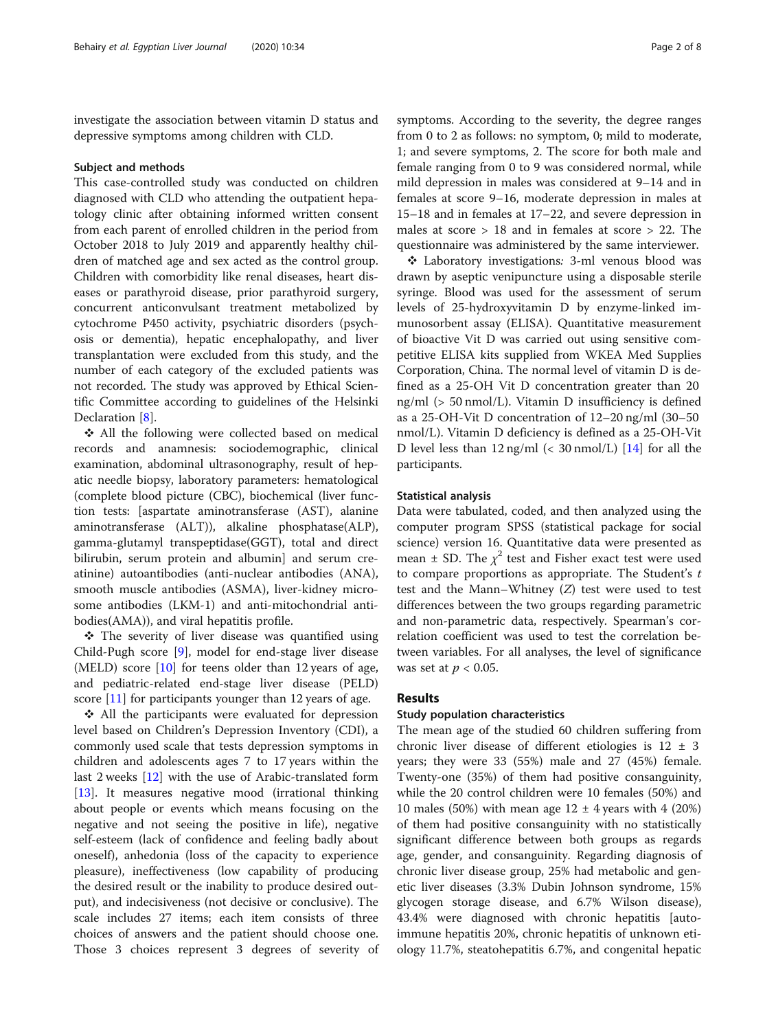investigate the association between vitamin D status and depressive symptoms among children with CLD.

#### Subject and methods

This case-controlled study was conducted on children diagnosed with CLD who attending the outpatient hepatology clinic after obtaining informed written consent from each parent of enrolled children in the period from October 2018 to July 2019 and apparently healthy children of matched age and sex acted as the control group. Children with comorbidity like renal diseases, heart diseases or parathyroid disease, prior parathyroid surgery, concurrent anticonvulsant treatment metabolized by cytochrome P450 activity, psychiatric disorders (psychosis or dementia), hepatic encephalopathy, and liver transplantation were excluded from this study, and the number of each category of the excluded patients was not recorded. The study was approved by Ethical Scientific Committee according to guidelines of the Helsinki Declaration [\[8\]](#page-6-0).

❖ All the following were collected based on medical records and anamnesis: sociodemographic, clinical examination, abdominal ultrasonography, result of hepatic needle biopsy, laboratory parameters: hematological (complete blood picture (CBC), biochemical (liver function tests: [aspartate aminotransferase (AST), alanine aminotransferase (ALT)), alkaline phosphatase(ALP), gamma-glutamyl transpeptidase(GGT), total and direct bilirubin, serum protein and albumin] and serum creatinine) autoantibodies (anti-nuclear antibodies (ANA), smooth muscle antibodies (ASMA), liver-kidney microsome antibodies (LKM-1) and anti-mitochondrial antibodies(AMA)), and viral hepatitis profile.

❖ The severity of liver disease was quantified using Child-Pugh score [[9](#page-6-0)], model for end-stage liver disease (MELD) score [[10](#page-6-0)] for teens older than 12 years of age, and pediatric-related end-stage liver disease (PELD) score [\[11\]](#page-6-0) for participants younger than 12 years of age.

❖ All the participants were evaluated for depression level based on Children's Depression Inventory (CDI), a commonly used scale that tests depression symptoms in children and adolescents ages 7 to 17 years within the last 2 weeks [\[12](#page-6-0)] with the use of Arabic-translated form [[13\]](#page-6-0). It measures negative mood (irrational thinking about people or events which means focusing on the negative and not seeing the positive in life), negative self-esteem (lack of confidence and feeling badly about oneself), anhedonia (loss of the capacity to experience pleasure), ineffectiveness (low capability of producing the desired result or the inability to produce desired output), and indecisiveness (not decisive or conclusive). The scale includes 27 items; each item consists of three choices of answers and the patient should choose one. Those 3 choices represent 3 degrees of severity of symptoms. According to the severity, the degree ranges from 0 to 2 as follows: no symptom, 0; mild to moderate, 1; and severe symptoms, 2. The score for both male and female ranging from 0 to 9 was considered normal, while mild depression in males was considered at 9–14 and in females at score 9–16, moderate depression in males at 15–18 and in females at 17–22, and severe depression in males at score > 18 and in females at score > 22. The questionnaire was administered by the same interviewer.

❖ Laboratory investigations: 3-ml venous blood was drawn by aseptic venipuncture using a disposable sterile syringe. Blood was used for the assessment of serum levels of 25-hydroxyvitamin D by enzyme-linked immunosorbent assay (ELISA). Quantitative measurement of bioactive Vit D was carried out using sensitive competitive ELISA kits supplied from WKEA Med Supplies Corporation, China. The normal level of vitamin D is defined as a 25-OH Vit D concentration greater than 20 ng/ml (> 50 nmol/L). Vitamin D insufficiency is defined as a 25-OH-Vit D concentration of 12–20 ng/ml (30–50 nmol/L). Vitamin D deficiency is defined as a 25-OH-Vit D level less than  $12 \text{ ng/ml}$  (< 30 nmol/L) [[14\]](#page-6-0) for all the participants.

# Statistical analysis

Data were tabulated, coded, and then analyzed using the computer program SPSS (statistical package for social science) version 16. Quantitative data were presented as mean  $\pm$  SD. The  $\chi^2$  test and Fisher exact test were used to compare proportions as appropriate. The Student's  $t$ test and the Mann–Whitney (Z) test were used to test differences between the two groups regarding parametric and non-parametric data, respectively. Spearman's correlation coefficient was used to test the correlation between variables. For all analyses, the level of significance was set at  $p < 0.05$ .

## Results

## Study population characteristics

The mean age of the studied 60 children suffering from chronic liver disease of different etiologies is 12 ± 3 years; they were 33 (55%) male and 27 (45%) female. Twenty-one (35%) of them had positive consanguinity, while the 20 control children were 10 females (50%) and 10 males (50%) with mean age  $12 \pm 4$  years with 4 (20%) of them had positive consanguinity with no statistically significant difference between both groups as regards age, gender, and consanguinity. Regarding diagnosis of chronic liver disease group, 25% had metabolic and genetic liver diseases (3.3% Dubin Johnson syndrome, 15% glycogen storage disease, and 6.7% Wilson disease), 43.4% were diagnosed with chronic hepatitis [autoimmune hepatitis 20%, chronic hepatitis of unknown etiology 11.7%, steatohepatitis 6.7%, and congenital hepatic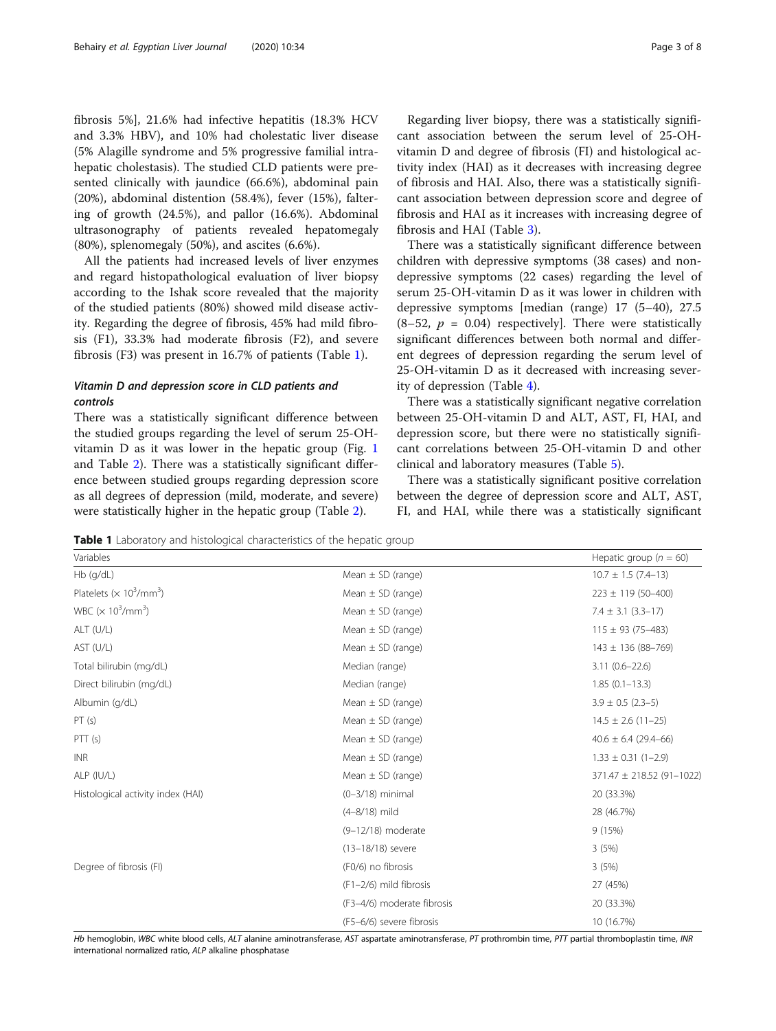fibrosis 5%], 21.6% had infective hepatitis (18.3% HCV and 3.3% HBV), and 10% had cholestatic liver disease (5% Alagille syndrome and 5% progressive familial intrahepatic cholestasis). The studied CLD patients were presented clinically with jaundice (66.6%), abdominal pain (20%), abdominal distention (58.4%), fever (15%), faltering of growth (24.5%), and pallor (16.6%). Abdominal ultrasonography of patients revealed hepatomegaly (80%), splenomegaly (50%), and ascites (6.6%).

All the patients had increased levels of liver enzymes and regard histopathological evaluation of liver biopsy according to the Ishak score revealed that the majority of the studied patients (80%) showed mild disease activity. Regarding the degree of fibrosis, 45% had mild fibrosis (F1), 33.3% had moderate fibrosis (F2), and severe fibrosis (F3) was present in 16.7% of patients (Table 1).

# Vitamin D and depression score in CLD patients and controls

There was a statistically significant difference between the studied groups regarding the level of serum 25-OHvitamin D as it was lower in the hepatic group (Fig. [1](#page-3-0) and Table [2](#page-3-0)). There was a statistically significant difference between studied groups regarding depression score as all degrees of depression (mild, moderate, and severe) were statistically higher in the hepatic group (Table [2\)](#page-3-0).

Regarding liver biopsy, there was a statistically significant association between the serum level of 25-OHvitamin D and degree of fibrosis (FI) and histological activity index (HAI) as it decreases with increasing degree of fibrosis and HAI. Also, there was a statistically significant association between depression score and degree of fibrosis and HAI as it increases with increasing degree of fibrosis and HAI (Table [3\)](#page-4-0).

There was a statistically significant difference between children with depressive symptoms (38 cases) and nondepressive symptoms (22 cases) regarding the level of serum 25-OH-vitamin D as it was lower in children with depressive symptoms [median (range) 17 (5–40), 27.5  $(8-52, p = 0.04)$  respectively]. There were statistically significant differences between both normal and different degrees of depression regarding the serum level of 25-OH-vitamin D as it decreased with increasing severity of depression (Table [4](#page-4-0)).

There was a statistically significant negative correlation between 25-OH-vitamin D and ALT, AST, FI, HAI, and depression score, but there were no statistically significant correlations between 25-OH-vitamin D and other clinical and laboratory measures (Table [5\)](#page-5-0).

There was a statistically significant positive correlation between the degree of depression score and ALT, AST, FI, and HAI, while there was a statistically significant

Table 1 Laboratory and histological characteristics of the hepatic group

| Variables                                               |                            | Hepatic group ( $n = 60$ ) |
|---------------------------------------------------------|----------------------------|----------------------------|
| Hb (g/dL)                                               | Mean $\pm$ SD (range)      | $10.7 \pm 1.5$ (7.4-13)    |
| Platelets ( $\times$ 10 <sup>3</sup> /mm <sup>3</sup> ) | Mean $\pm$ SD (range)      | $223 \pm 119$ (50-400)     |
| WBC ( $\times$ 10 <sup>3</sup> /mm <sup>3</sup> )       | Mean $\pm$ SD (range)      | $7.4 \pm 3.1 (3.3 - 17)$   |
| ALT (U/L)                                               | Mean $\pm$ SD (range)      | $115 \pm 93$ (75-483)      |
| AST (U/L)                                               | Mean $\pm$ SD (range)      | $143 \pm 136 (88 - 769)$   |
| Total bilirubin (mg/dL)                                 | Median (range)             | $3.11(0.6 - 22.6)$         |
| Direct bilirubin (mg/dL)                                | Median (range)             | $1.85(0.1-13.3)$           |
| Albumin (q/dL)                                          | Mean $\pm$ SD (range)      | $3.9 \pm 0.5$ (2.3-5)      |
| PT(s)                                                   | Mean $\pm$ SD (range)      | $14.5 \pm 2.6$ (11-25)     |
| PTT(s)                                                  | Mean $\pm$ SD (range)      | $40.6 \pm 6.4$ (29.4-66)   |
| <b>INR</b>                                              | Mean $\pm$ SD (range)      | $1.33 \pm 0.31$ (1-2.9)    |
| ALP (IU/L)                                              | Mean $\pm$ SD (range)      | 371.47 ± 218.52 (91-1022)  |
| Histological activity index (HAI)                       | $(0-3/18)$ minimal         | 20 (33.3%)                 |
|                                                         | $(4 - 8/18)$ mild          | 28 (46.7%)                 |
|                                                         | (9-12/18) moderate         | 9(15%)                     |
|                                                         | (13-18/18) severe          | 3(5%)                      |
| Degree of fibrosis (FI)                                 | (F0/6) no fibrosis         | 3(5%)                      |
|                                                         | $(F1-2/6)$ mild fibrosis   | 27 (45%)                   |
|                                                         | (F3-4/6) moderate fibrosis | 20 (33.3%)                 |
|                                                         | (F5-6/6) severe fibrosis   | 10 (16.7%)                 |

Hb hemoglobin, WBC white blood cells, ALT alanine aminotransferase, AST aspartate aminotransferase, PT prothrombin time, PTT partial thromboplastin time, INR international normalized ratio, ALP alkaline phosphatase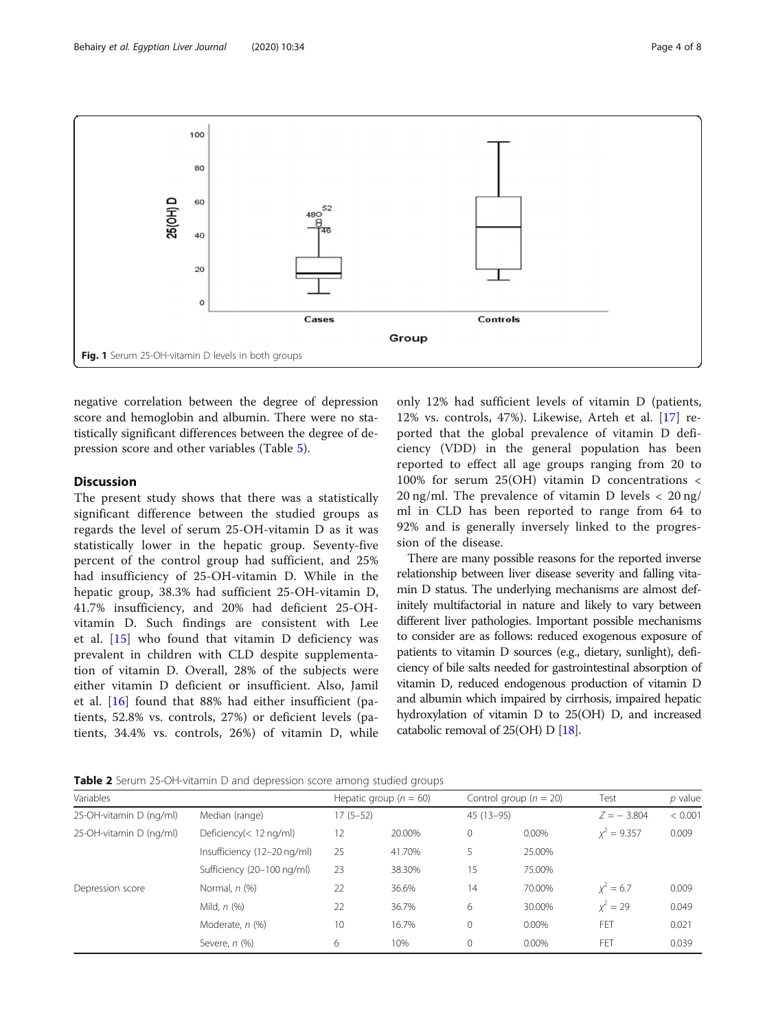<span id="page-3-0"></span>

negative correlation between the degree of depression score and hemoglobin and albumin. There were no statistically significant differences between the degree of depression score and other variables (Table [5\)](#page-5-0).

# **Discussion**

The present study shows that there was a statistically significant difference between the studied groups as regards the level of serum 25-OH-vitamin D as it was statistically lower in the hepatic group. Seventy-five percent of the control group had sufficient, and 25% had insufficiency of 25-OH-vitamin D. While in the hepatic group, 38.3% had sufficient 25-OH-vitamin D, 41.7% insufficiency, and 20% had deficient 25-OHvitamin D. Such findings are consistent with Lee et al. [\[15](#page-6-0)] who found that vitamin D deficiency was prevalent in children with CLD despite supplementation of vitamin D. Overall, 28% of the subjects were either vitamin D deficient or insufficient. Also, Jamil et al. [[16\]](#page-6-0) found that 88% had either insufficient (patients, 52.8% vs. controls, 27%) or deficient levels (patients, 34.4% vs. controls, 26%) of vitamin D, while

only 12% had sufficient levels of vitamin D (patients, 12% vs. controls, 47%). Likewise, Arteh et al. [[17](#page-6-0)] reported that the global prevalence of vitamin D deficiency (VDD) in the general population has been reported to effect all age groups ranging from 20 to 100% for serum 25(OH) vitamin D concentrations < 20 ng/ml. The prevalence of vitamin D levels < 20 ng/ ml in CLD has been reported to range from 64 to 92% and is generally inversely linked to the progression of the disease.

There are many possible reasons for the reported inverse relationship between liver disease severity and falling vitamin D status. The underlying mechanisms are almost definitely multifactorial in nature and likely to vary between different liver pathologies. Important possible mechanisms to consider are as follows: reduced exogenous exposure of patients to vitamin D sources (e.g., dietary, sunlight), deficiency of bile salts needed for gastrointestinal absorption of vitamin D, reduced endogenous production of vitamin D and albumin which impaired by cirrhosis, impaired hepatic hydroxylation of vitamin D to 25(OH) D, and increased catabolic removal of 25(OH) D [[18](#page-6-0)].

| Table 2 Serum 25-OH-vitamin D and depression score among studied groups |  |  |  |  |
|-------------------------------------------------------------------------|--|--|--|--|
|                                                                         |  |  |  |  |

| Variables               |                             |            | Hepatic group ( $n = 60$ ) |              | Control group ( $n = 20$ ) | Test          | $p$ value |
|-------------------------|-----------------------------|------------|----------------------------|--------------|----------------------------|---------------|-----------|
| 25-OH-vitamin D (ng/ml) | Median (range)              | $17(5-52)$ |                            | $45(13-95)$  |                            | $Z = -3.804$  | < 0.001   |
| 25-OH-vitamin D (ng/ml) | Deficiency(< 12 ng/ml)      | 12         | 20.00%                     | $\circ$      | 0.00%                      | $x^2 = 9.357$ | 0.009     |
|                         | Insufficiency (12-20 ng/ml) | 25         | 41.70%                     | 5            | 25.00%                     |               |           |
|                         | Sufficiency (20-100 ng/ml)  | 23         | 38.30%                     | 15           | 75.00%                     |               |           |
| Depression score        | Normal, $n$ $(\%)$          | 22         | 36.6%                      | 14           | 70.00%                     | $x^2 = 6.7$   | 0.009     |
|                         | Mild, n (%)                 | 22         | 36.7%                      | 6            | 30.00%                     | $x^2 = 29$    | 0.049     |
|                         | Moderate, n (%)             | 10         | 16.7%                      | $\mathbf{0}$ | 0.00%                      | FET           | 0.021     |
|                         | Severe, n (%)               | 6          | 10%                        | $\mathbf{0}$ | 0.00%                      | FET           | 0.039     |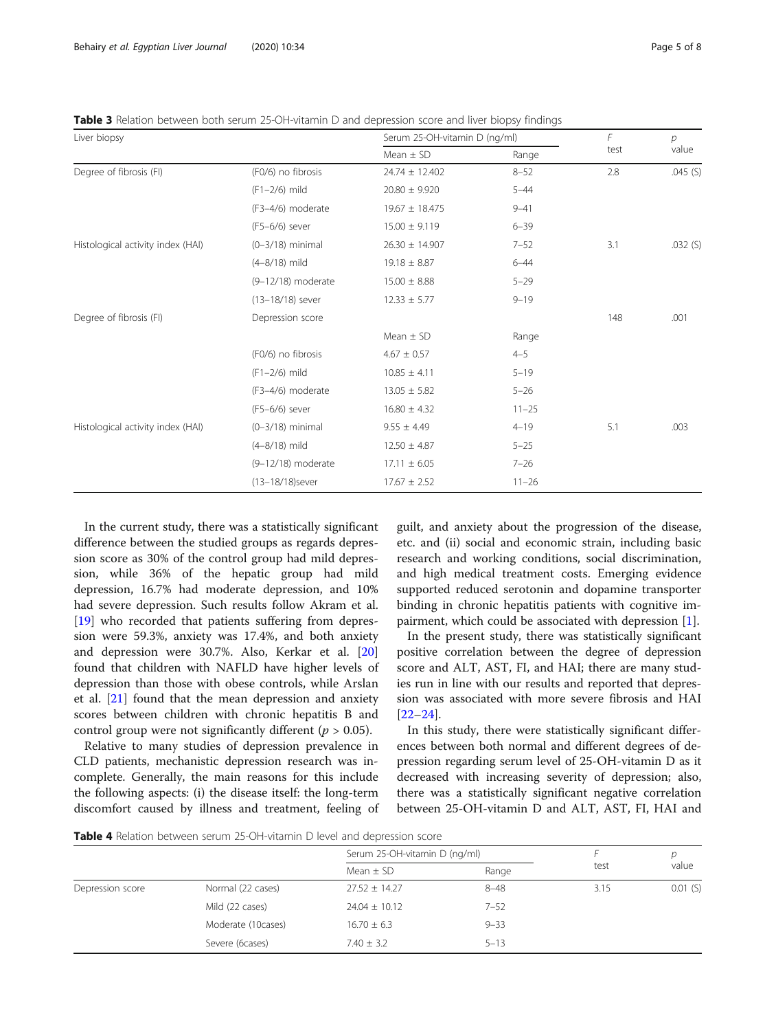<span id="page-4-0"></span>Table 3 Relation between both serum 25-OH-vitamin D and depression score and liver biopsy findings

| Liver biopsy                      |                    | Serum 25-OH-vitamin D (ng/ml) | F         | р    |         |
|-----------------------------------|--------------------|-------------------------------|-----------|------|---------|
|                                   |                    | Mean $\pm$ SD                 | Range     | test | value   |
| Degree of fibrosis (FI)           | (F0/6) no fibrosis | $24.74 \pm 12.402$            | $8 - 52$  | 2.8  | .045(S) |
|                                   | (F1-2/6) mild      | $20.80 \pm 9.920$             | $5 - 44$  |      |         |
|                                   | (F3-4/6) moderate  | $19.67 \pm 18.475$            | $9 - 41$  |      |         |
|                                   | (F5-6/6) sever     | $15.00 \pm 9.119$             | $6 - 39$  |      |         |
| Histological activity index (HAI) | $(0-3/18)$ minimal | $26.30 \pm 14.907$            | $7 - 52$  | 3.1  | .032(S) |
|                                   | $(4 - 8/18)$ mild  | $19.18 \pm 8.87$              | $6 - 44$  |      |         |
|                                   | (9-12/18) moderate | $15.00 \pm 8.88$              | $5 - 29$  |      |         |
|                                   | (13-18/18) sever   | $12.33 \pm 5.77$              | $9 - 19$  |      |         |
| Degree of fibrosis (FI)           | Depression score   |                               |           | 148  | .001    |
|                                   |                    | Mean $\pm$ SD                 | Range     |      |         |
|                                   | (F0/6) no fibrosis | $4.67 \pm 0.57$               | $4 - 5$   |      |         |
|                                   | (F1-2/6) mild      | $10.85 \pm 4.11$              | $5 - 19$  |      |         |
|                                   | (F3-4/6) moderate  | $13.05 \pm 5.82$              | $5 - 26$  |      |         |
|                                   | (F5-6/6) sever     | $16.80 \pm 4.32$              | $11 - 25$ |      |         |
| Histological activity index (HAI) | $(0-3/18)$ minimal | $9.55 \pm 4.49$               | $4 - 19$  | 5.1  | .003    |
|                                   | $(4 - 8/18)$ mild  | $12.50 \pm 4.87$              | $5 - 25$  |      |         |
|                                   | (9-12/18) moderate | $17.11 \pm 6.05$              | $7 - 26$  |      |         |
|                                   | (13-18/18) sever   | $17.67 \pm 2.52$              | $11 - 26$ |      |         |

In the current study, there was a statistically significant difference between the studied groups as regards depression score as 30% of the control group had mild depression, while 36% of the hepatic group had mild depression, 16.7% had moderate depression, and 10% had severe depression. Such results follow Akram et al. [[19\]](#page-6-0) who recorded that patients suffering from depression were 59.3%, anxiety was 17.4%, and both anxiety and depression were 30.7%. Also, Kerkar et al. [[20](#page-6-0)] found that children with NAFLD have higher levels of depression than those with obese controls, while Arslan et al. [[21\]](#page-6-0) found that the mean depression and anxiety scores between children with chronic hepatitis B and control group were not significantly different ( $p > 0.05$ ).

Relative to many studies of depression prevalence in CLD patients, mechanistic depression research was incomplete. Generally, the main reasons for this include the following aspects: (i) the disease itself: the long-term discomfort caused by illness and treatment, feeling of guilt, and anxiety about the progression of the disease, etc. and (ii) social and economic strain, including basic research and working conditions, social discrimination, and high medical treatment costs. Emerging evidence supported reduced serotonin and dopamine transporter binding in chronic hepatitis patients with cognitive impairment, which could be associated with depression [[1\]](#page-6-0).

In the present study, there was statistically significant positive correlation between the degree of depression score and ALT, AST, FI, and HAI; there are many studies run in line with our results and reported that depression was associated with more severe fibrosis and HAI [[22](#page-6-0)–[24](#page-6-0)].

In this study, there were statistically significant differences between both normal and different degrees of depression regarding serum level of 25-OH-vitamin D as it decreased with increasing severity of depression; also, there was a statistically significant negative correlation between 25-OH-vitamin D and ALT, AST, FI, HAI and

**Table 4** Relation between serum 25-OH-vitamin D level and depression score

|                  |                    | Serum 25-OH-vitamin D (ng/ml) |          |      |         |
|------------------|--------------------|-------------------------------|----------|------|---------|
|                  |                    | Mean $\pm$ SD                 | Range    | test | value   |
| Depression score | Normal (22 cases)  | $27.52 + 14.27$               | $8 - 48$ | 3.15 | 0.01(S) |
|                  | Mild (22 cases)    | $24.04 \pm 10.12$             | $7 - 52$ |      |         |
|                  | Moderate (10cases) | $16.70 \pm 6.3$               | $9 - 33$ |      |         |
|                  | Severe (6cases)    | $7.40 \pm 3.2$                | $5 - 13$ |      |         |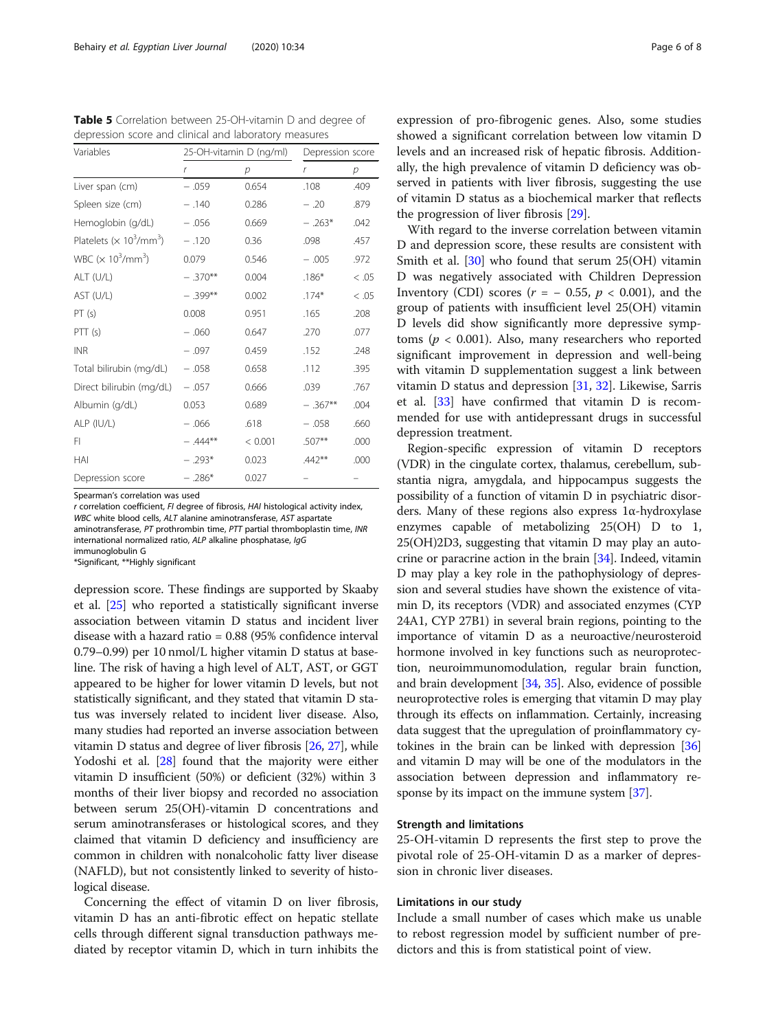<span id="page-5-0"></span>Table 5 Correlation between 25-OH-vitamin D and degree of depression score and clinical and laboratory measures

| Variables                                               |            | 25-OH-vitamin D (ng/ml) | Depression score |        |
|---------------------------------------------------------|------------|-------------------------|------------------|--------|
|                                                         | r          | p                       | $\mathsf{r}$     | р      |
| Liver span (cm)                                         | $-.059$    | 0.654                   | .108             | .409   |
| Spleen size (cm)                                        | $-.140$    | 0.286                   | $-.20$           | .879   |
| Hemoglobin (g/dL)                                       | $-.056$    | 0.669                   | $-.263*$         | .042   |
| Platelets ( $\times$ 10 <sup>3</sup> /mm <sup>3</sup> ) | $-.120$    | 0.36                    | .098             | .457   |
| WBC ( $\times$ 10 <sup>3</sup> /mm <sup>3</sup> )       | 0.079      | 0.546                   | $-.005$          | .972   |
| ALT (U/L)                                               | $-.370**$  | 0.004                   | $.186*$          | < 0.05 |
| AST (U/L)                                               | $-0.399**$ | 0.002                   | $.174*$          | < .05  |
| PT(s)                                                   | 0.008      | 0.951                   | .165             | .208   |
| PTT(s)                                                  | $-.060$    | 0.647                   | .270             | .077   |
| <b>INR</b>                                              | $-.097$    | 0.459                   | .152             | .248   |
| Total bilirubin (mg/dL)                                 | $-.058$    | 0.658                   | .112             | .395   |
| Direct bilirubin (mg/dL)                                | $-.057$    | 0.666                   | .039             | .767   |
| Albumin (g/dL)                                          | 0.053      | 0.689                   | $-367**$         | .004   |
| ALP (IU/L)                                              | $-.066$    | .618                    | $-.058$          | .660   |
| FI                                                      | $-.444**$  | < 0.001                 | .507**           | .000   |
| HAI                                                     | $-.293*$   | 0.023                   | $.442**$         | .000   |
| Depression score                                        | $-.286*$   | 0.027                   |                  |        |

Spearman's correlation was used

r correlation coefficient, FI degree of fibrosis, HAI histological activity index, WBC white blood cells, ALT alanine aminotransferase, AST aspartate aminotransferase, PT prothrombin time, PTT partial thromboplastin time, INR international normalized ratio, ALP alkaline phosphatase, IgG immunoglobulin G

\*Significant, \*\*Highly significant

depression score. These findings are supported by Skaaby et al. [\[25](#page-6-0)] who reported a statistically significant inverse association between vitamin D status and incident liver disease with a hazard ratio = 0.88 (95% confidence interval 0.79–0.99) per 10 nmol/L higher vitamin D status at baseline. The risk of having a high level of ALT, AST, or GGT appeared to be higher for lower vitamin D levels, but not statistically significant, and they stated that vitamin D status was inversely related to incident liver disease. Also, many studies had reported an inverse association between vitamin D status and degree of liver fibrosis [\[26,](#page-6-0) [27](#page-6-0)], while Yodoshi et al. [[28](#page-6-0)] found that the majority were either vitamin D insufficient (50%) or deficient (32%) within 3 months of their liver biopsy and recorded no association between serum 25(OH)-vitamin D concentrations and serum aminotransferases or histological scores, and they claimed that vitamin D deficiency and insufficiency are common in children with nonalcoholic fatty liver disease (NAFLD), but not consistently linked to severity of histological disease.

Concerning the effect of vitamin D on liver fibrosis, vitamin D has an anti-fibrotic effect on hepatic stellate cells through different signal transduction pathways mediated by receptor vitamin D, which in turn inhibits the

expression of pro-fibrogenic genes. Also, some studies showed a significant correlation between low vitamin D levels and an increased risk of hepatic fibrosis. Additionally, the high prevalence of vitamin D deficiency was observed in patients with liver fibrosis, suggesting the use of vitamin D status as a biochemical marker that reflects the progression of liver fibrosis [\[29\]](#page-7-0).

With regard to the inverse correlation between vitamin D and depression score, these results are consistent with Smith et al. [\[30](#page-7-0)] who found that serum 25(OH) vitamin D was negatively associated with Children Depression Inventory (CDI) scores ( $r = -0.55$ ,  $p < 0.001$ ), and the group of patients with insufficient level 25(OH) vitamin D levels did show significantly more depressive symptoms ( $p < 0.001$ ). Also, many researchers who reported significant improvement in depression and well-being with vitamin D supplementation suggest a link between vitamin D status and depression [[31](#page-7-0), [32](#page-7-0)]. Likewise, Sarris et al. [[33\]](#page-7-0) have confirmed that vitamin D is recommended for use with antidepressant drugs in successful depression treatment.

Region-specific expression of vitamin D receptors (VDR) in the cingulate cortex, thalamus, cerebellum, substantia nigra, amygdala, and hippocampus suggests the possibility of a function of vitamin D in psychiatric disorders. Many of these regions also express 1α-hydroxylase enzymes capable of metabolizing 25(OH) D to 1, 25(OH)2D3, suggesting that vitamin D may play an autocrine or paracrine action in the brain [[34](#page-7-0)]. Indeed, vitamin D may play a key role in the pathophysiology of depression and several studies have shown the existence of vitamin D, its receptors (VDR) and associated enzymes (CYP 24A1, CYP 27B1) in several brain regions, pointing to the importance of vitamin D as a neuroactive/neurosteroid hormone involved in key functions such as neuroprotection, neuroimmunomodulation, regular brain function, and brain development [\[34](#page-7-0), [35\]](#page-7-0). Also, evidence of possible neuroprotective roles is emerging that vitamin D may play through its effects on inflammation. Certainly, increasing data suggest that the upregulation of proinflammatory cytokines in the brain can be linked with depression [[36](#page-7-0)] and vitamin D may will be one of the modulators in the association between depression and inflammatory re-sponse by its impact on the immune system [[37](#page-7-0)].

### Strength and limitations

25-OH-vitamin D represents the first step to prove the pivotal role of 25-OH-vitamin D as a marker of depression in chronic liver diseases.

## Limitations in our study

Include a small number of cases which make us unable to rebost regression model by sufficient number of predictors and this is from statistical point of view.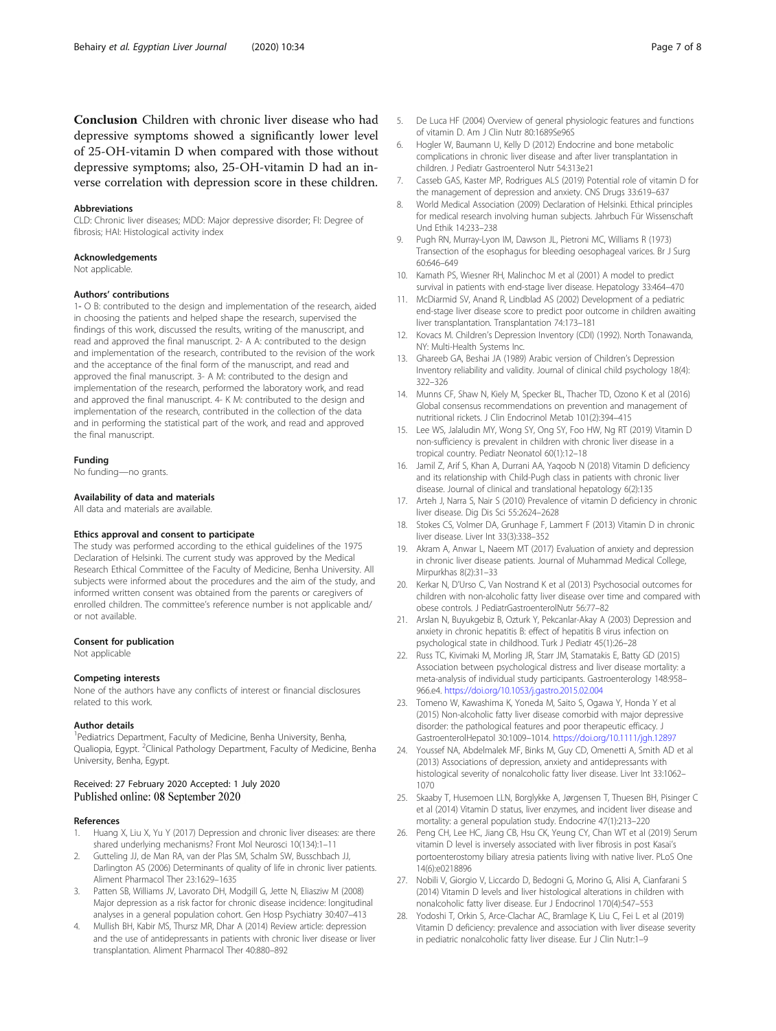<span id="page-6-0"></span>Conclusion Children with chronic liver disease who had depressive symptoms showed a significantly lower level of 25-OH-vitamin D when compared with those without depressive symptoms; also, 25-OH-vitamin D had an inverse correlation with depression score in these children.

#### Abbreviations

CLD: Chronic liver diseases; MDD: Major depressive disorder; FI: Degree of fibrosis; HAI: Histological activity index

#### Acknowledgements

Not applicable.

#### Authors' contributions

1- O B: contributed to the design and implementation of the research, aided in choosing the patients and helped shape the research, supervised the findings of this work, discussed the results, writing of the manuscript, and read and approved the final manuscript. 2- A A: contributed to the design and implementation of the research, contributed to the revision of the work and the acceptance of the final form of the manuscript, and read and approved the final manuscript. 3- A M: contributed to the design and implementation of the research, performed the laboratory work, and read and approved the final manuscript. 4- K M: contributed to the design and implementation of the research, contributed in the collection of the data and in performing the statistical part of the work, and read and approved the final manuscript.

#### Funding

No funding—no grants.

#### Availability of data and materials

All data and materials are available.

#### Ethics approval and consent to participate

The study was performed according to the ethical guidelines of the 1975 Declaration of Helsinki. The current study was approved by the Medical Research Ethical Committee of the Faculty of Medicine, Benha University. All subjects were informed about the procedures and the aim of the study, and informed written consent was obtained from the parents or caregivers of enrolled children. The committee's reference number is not applicable and/ or not available.

#### Consent for publication

Not applicable

#### Competing interests

None of the authors have any conflicts of interest or financial disclosures related to this work.

#### Author details

<sup>1</sup> Pediatrics Department, Faculty of Medicine, Benha University, Benha, Qualiopia, Egypt. <sup>2</sup>Clinical Pathology Department, Faculty of Medicine, Benha University, Benha, Egypt.

### Received: 27 February 2020 Accepted: 1 July 2020 Published online: 08 September 2020

#### References

- 1. Huang X, Liu X, Yu Y (2017) Depression and chronic liver diseases: are there shared underlying mechanisms? Front Mol Neurosci 10(134):1–11
- 2. Gutteling JJ, de Man RA, van der Plas SM, Schalm SW, Busschbach JJ, Darlington AS (2006) Determinants of quality of life in chronic liver patients. Aliment Pharmacol Ther 23:1629–1635
- 3. Patten SB, Williams JV, Lavorato DH, Modgill G, Jette N, Eliasziw M (2008) Major depression as a risk factor for chronic disease incidence: longitudinal analyses in a general population cohort. Gen Hosp Psychiatry 30:407–413
- 4. Mullish BH, Kabir MS, Thursz MR, Dhar A (2014) Review article: depression and the use of antidepressants in patients with chronic liver disease or liver transplantation. Aliment Pharmacol Ther 40:880–892
- 5. De Luca HF (2004) Overview of general physiologic features and functions of vitamin D. Am J Clin Nutr 80:1689Se96S
- 6. Hogler W, Baumann U, Kelly D (2012) Endocrine and bone metabolic complications in chronic liver disease and after liver transplantation in children. J Pediatr Gastroenterol Nutr 54:313e21
- 7. Casseb GAS, Kaster MP, Rodrigues ALS (2019) Potential role of vitamin D for the management of depression and anxiety. CNS Drugs 33:619–637
- 8. World Medical Association (2009) Declaration of Helsinki. Ethical principles for medical research involving human subjects. Jahrbuch Für Wissenschaft Und Ethik 14:233–238
- 9. Pugh RN, Murray-Lyon IM, Dawson JL, Pietroni MC, Williams R (1973) Transection of the esophagus for bleeding oesophageal varices. Br J Surg 60:646–649
- 10. Kamath PS, Wiesner RH, Malinchoc M et al (2001) A model to predict survival in patients with end-stage liver disease. Hepatology 33:464–470
- 11. McDiarmid SV, Anand R, Lindblad AS (2002) Development of a pediatric end-stage liver disease score to predict poor outcome in children awaiting liver transplantation. Transplantation 74:173–181
- 12. Kovacs M. Children's Depression Inventory (CDI) (1992). North Tonawanda, NY: Multi-Health Systems Inc.
- 13. Ghareeb GA, Beshai JA (1989) Arabic version of Children's Depression Inventory reliability and validity. Journal of clinical child psychology 18(4): 322–326
- 14. Munns CF, Shaw N, Kiely M, Specker BL, Thacher TD, Ozono K et al (2016) Global consensus recommendations on prevention and management of nutritional rickets. J Clin Endocrinol Metab 101(2):394–415
- 15. Lee WS, Jalaludin MY, Wong SY, Ong SY, Foo HW, Ng RT (2019) Vitamin D non-sufficiency is prevalent in children with chronic liver disease in a tropical country. Pediatr Neonatol 60(1):12–18
- 16. Jamil Z, Arif S, Khan A, Durrani AA, Yaqoob N (2018) Vitamin D deficiency and its relationship with Child-Pugh class in patients with chronic liver disease. Journal of clinical and translational hepatology 6(2):135
- 17. Arteh J, Narra S, Nair S (2010) Prevalence of vitamin D deficiency in chronic liver disease. Dig Dis Sci 55:2624–2628
- 18. Stokes CS, Volmer DA, Grunhage F, Lammert F (2013) Vitamin D in chronic liver disease. Liver Int 33(3):338–352
- 19. Akram A, Anwar L, Naeem MT (2017) Evaluation of anxiety and depression in chronic liver disease patients. Journal of Muhammad Medical College, Mirpurkhas 8(2):31–33
- 20. Kerkar N, D'Urso C, Van Nostrand K et al (2013) Psychosocial outcomes for children with non-alcoholic fatty liver disease over time and compared with obese controls. J PediatrGastroenterolNutr 56:77–82
- 21. Arslan N, Buyukgebiz B, Ozturk Y, Pekcanlar-Akay A (2003) Depression and anxiety in chronic hepatitis B: effect of hepatitis B virus infection on psychological state in childhood. Turk J Pediatr 45(1):26–28
- 22. Russ TC, Kivimaki M, Morling JR, Starr JM, Stamatakis E, Batty GD (2015) Association between psychological distress and liver disease mortality: a meta-analysis of individual study participants. Gastroenterology 148:958– 966.e4. <https://doi.org/10.1053/j.gastro.2015.02.004>
- 23. Tomeno W, Kawashima K, Yoneda M, Saito S, Ogawa Y, Honda Y et al (2015) Non-alcoholic fatty liver disease comorbid with major depressive disorder: the pathological features and poor therapeutic efficacy. J GastroenterolHepatol 30:1009–1014. <https://doi.org/10.1111/jgh.12897>
- 24. Youssef NA, Abdelmalek MF, Binks M, Guy CD, Omenetti A, Smith AD et al (2013) Associations of depression, anxiety and antidepressants with histological severity of nonalcoholic fatty liver disease. Liver Int 33:1062– 1070
- 25. Skaaby T, Husemoen LLN, Borglykke A, Jørgensen T, Thuesen BH, Pisinger C et al (2014) Vitamin D status, liver enzymes, and incident liver disease and mortality: a general population study. Endocrine 47(1):213–220
- 26. Peng CH, Lee HC, Jiang CB, Hsu CK, Yeung CY, Chan WT et al (2019) Serum vitamin D level is inversely associated with liver fibrosis in post Kasai's portoenterostomy biliary atresia patients living with native liver. PLoS One 14(6):e0218896
- 27. Nobili V, Giorgio V, Liccardo D, Bedogni G, Morino G, Alisi A, Cianfarani S (2014) Vitamin D levels and liver histological alterations in children with nonalcoholic fatty liver disease. Eur J Endocrinol 170(4):547–553
- 28. Yodoshi T, Orkin S, Arce-Clachar AC, Bramlage K, Liu C, Fei L et al (2019) Vitamin D deficiency: prevalence and association with liver disease severity in pediatric nonalcoholic fatty liver disease. Eur J Clin Nutr:1–9